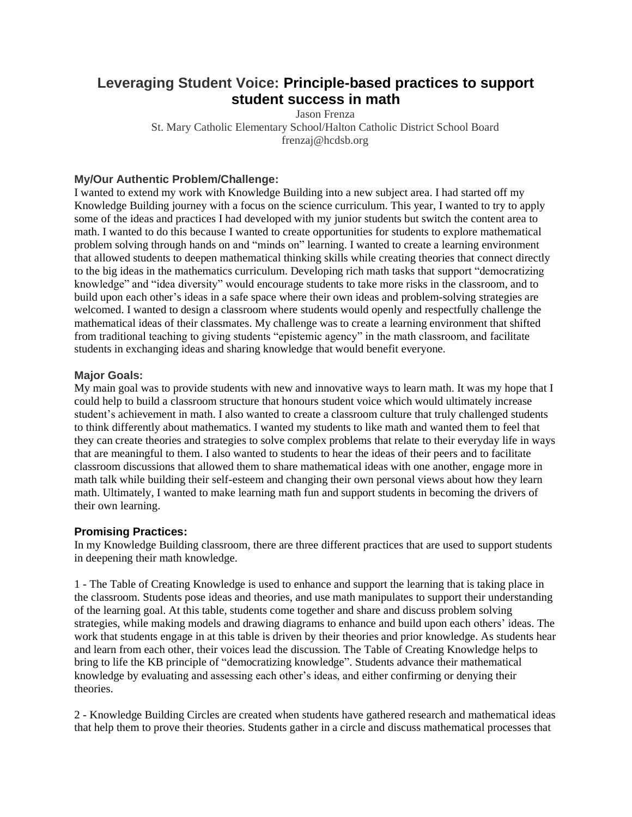# **Leveraging Student Voice: Principle-based practices to support student success in math**

Jason Frenza St. Mary Catholic Elementary School/Halton Catholic District School Board frenzaj@hcdsb.org

## **My/Our Authentic Problem/Challenge:**

I wanted to extend my work with Knowledge Building into a new subject area. I had started off my Knowledge Building journey with a focus on the science curriculum. This year, I wanted to try to apply some of the ideas and practices I had developed with my junior students but switch the content area to math. I wanted to do this because I wanted to create opportunities for students to explore mathematical problem solving through hands on and "minds on" learning. I wanted to create a learning environment that allowed students to deepen mathematical thinking skills while creating theories that connect directly to the big ideas in the mathematics curriculum. Developing rich math tasks that support "democratizing knowledge" and "idea diversity" would encourage students to take more risks in the classroom, and to build upon each other's ideas in a safe space where their own ideas and problem-solving strategies are welcomed. I wanted to design a classroom where students would openly and respectfully challenge the mathematical ideas of their classmates. My challenge was to create a learning environment that shifted from traditional teaching to giving students "epistemic agency" in the math classroom, and facilitate students in exchanging ideas and sharing knowledge that would benefit everyone.

### **Major Goals:**

My main goal was to provide students with new and innovative ways to learn math. It was my hope that I could help to build a classroom structure that honours student voice which would ultimately increase student's achievement in math. I also wanted to create a classroom culture that truly challenged students to think differently about mathematics. I wanted my students to like math and wanted them to feel that they can create theories and strategies to solve complex problems that relate to their everyday life in ways that are meaningful to them. I also wanted to students to hear the ideas of their peers and to facilitate classroom discussions that allowed them to share mathematical ideas with one another, engage more in math talk while building their self-esteem and changing their own personal views about how they learn math. Ultimately, I wanted to make learning math fun and support students in becoming the drivers of their own learning.

#### **Promising Practices:**

In my Knowledge Building classroom, there are three different practices that are used to support students in deepening their math knowledge.

1 - The Table of Creating Knowledge is used to enhance and support the learning that is taking place in the classroom. Students pose ideas and theories, and use math manipulates to support their understanding of the learning goal. At this table, students come together and share and discuss problem solving strategies, while making models and drawing diagrams to enhance and build upon each others' ideas. The work that students engage in at this table is driven by their theories and prior knowledge. As students hear and learn from each other, their voices lead the discussion. The Table of Creating Knowledge helps to bring to life the KB principle of "democratizing knowledge". Students advance their mathematical knowledge by evaluating and assessing each other's ideas, and either confirming or denying their theories.

2 - Knowledge Building Circles are created when students have gathered research and mathematical ideas that help them to prove their theories. Students gather in a circle and discuss mathematical processes that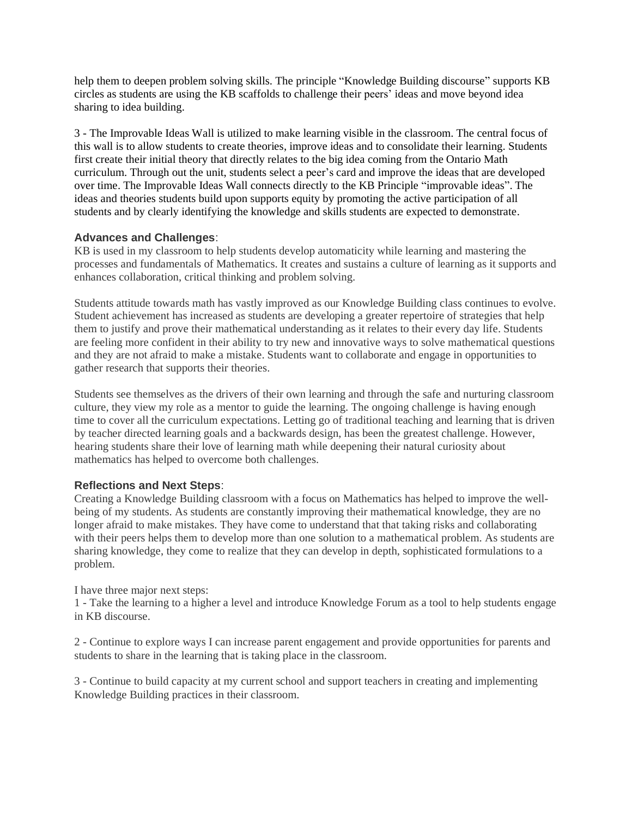help them to deepen problem solving skills. The principle "Knowledge Building discourse" supports KB circles as students are using the KB scaffolds to challenge their peers' ideas and move beyond idea sharing to idea building.

3 - The Improvable Ideas Wall is utilized to make learning visible in the classroom. The central focus of this wall is to allow students to create theories, improve ideas and to consolidate their learning. Students first create their initial theory that directly relates to the big idea coming from the Ontario Math curriculum. Through out the unit, students select a peer's card and improve the ideas that are developed over time. The Improvable Ideas Wall connects directly to the KB Principle "improvable ideas". The ideas and theories students build upon supports equity by promoting the active participation of all students and by clearly identifying the knowledge and skills students are expected to demonstrate.

#### **Advances and Challenges**:

KB is used in my classroom to help students develop automaticity while learning and mastering the processes and fundamentals of Mathematics. It creates and sustains a culture of learning as it supports and enhances collaboration, critical thinking and problem solving.

Students attitude towards math has vastly improved as our Knowledge Building class continues to evolve. Student achievement has increased as students are developing a greater repertoire of strategies that help them to justify and prove their mathematical understanding as it relates to their every day life. Students are feeling more confident in their ability to try new and innovative ways to solve mathematical questions and they are not afraid to make a mistake. Students want to collaborate and engage in opportunities to gather research that supports their theories.

Students see themselves as the drivers of their own learning and through the safe and nurturing classroom culture, they view my role as a mentor to guide the learning. The ongoing challenge is having enough time to cover all the curriculum expectations. Letting go of traditional teaching and learning that is driven by teacher directed learning goals and a backwards design, has been the greatest challenge. However, hearing students share their love of learning math while deepening their natural curiosity about mathematics has helped to overcome both challenges.

## **Reflections and Next Steps**:

Creating a Knowledge Building classroom with a focus on Mathematics has helped to improve the wellbeing of my students. As students are constantly improving their mathematical knowledge, they are no longer afraid to make mistakes. They have come to understand that that taking risks and collaborating with their peers helps them to develop more than one solution to a mathematical problem. As students are sharing knowledge, they come to realize that they can develop in depth, sophisticated formulations to a problem.

I have three major next steps:

1 - Take the learning to a higher a level and introduce Knowledge Forum as a tool to help students engage in KB discourse.

2 - Continue to explore ways I can increase parent engagement and provide opportunities for parents and students to share in the learning that is taking place in the classroom.

3 - Continue to build capacity at my current school and support teachers in creating and implementing Knowledge Building practices in their classroom.